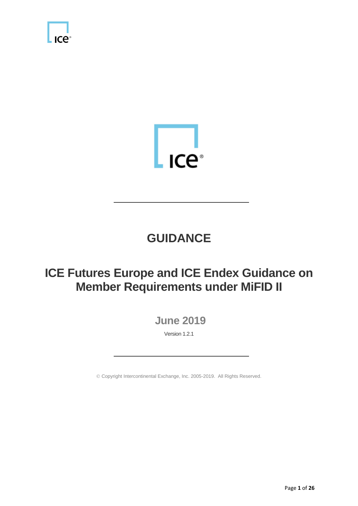



## **GUIDANCE**

## **ICE Futures Europe and ICE Endex Guidance on Member Requirements under MiFID II**

**June 2019**

Version 1.2.1

Copyright Intercontinental Exchange, Inc. 2005-2019. All Rights Reserved.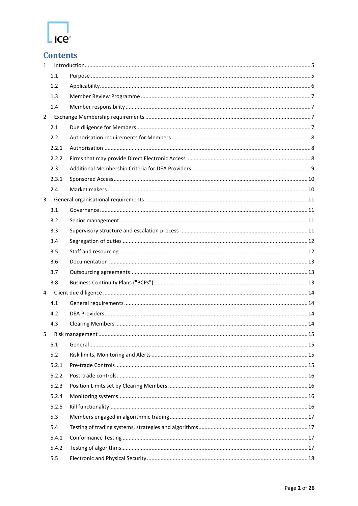

### **Contents**

| $\mathbf{1}$   |       |  |  |
|----------------|-------|--|--|
|                | 1.1   |  |  |
|                | 1.2   |  |  |
|                | 1.3   |  |  |
|                | 1.4   |  |  |
| $\overline{2}$ |       |  |  |
|                | 2.1   |  |  |
|                | 2.2   |  |  |
|                | 2.2.1 |  |  |
|                | 2.2.2 |  |  |
|                | 2.3   |  |  |
|                | 2.3.1 |  |  |
|                | 2.4   |  |  |
| $\overline{3}$ |       |  |  |
|                | 3.1   |  |  |
|                | 3.2   |  |  |
|                | 3.3   |  |  |
|                | 3.4   |  |  |
|                | 3.5   |  |  |
|                | 3.6   |  |  |
|                | 3.7   |  |  |
|                | 3.8   |  |  |
| 4              |       |  |  |
|                | 4.1   |  |  |
|                | 4.2   |  |  |
|                | 4.3   |  |  |
| 5              |       |  |  |
|                | 5.1   |  |  |
|                | 5.2   |  |  |
|                | 5.2.1 |  |  |
|                | 5.2.2 |  |  |
|                | 5.2.3 |  |  |
|                | 5.2.4 |  |  |
|                | 5.2.5 |  |  |
|                | 5.3   |  |  |
|                | 5.4   |  |  |
|                | 5.4.1 |  |  |
|                | 5.4.2 |  |  |
|                | 5.5   |  |  |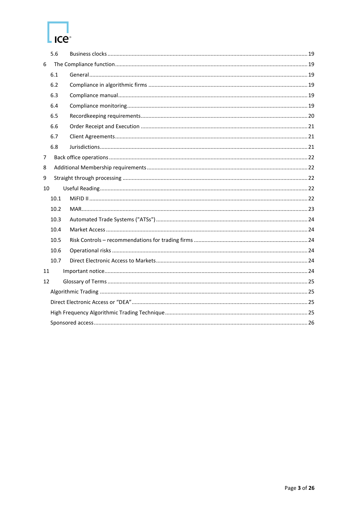# Ice<sup>®</sup>

|    | 5.6  |  |  |  |  |
|----|------|--|--|--|--|
| 6  |      |  |  |  |  |
|    | 6.1  |  |  |  |  |
|    | 6.2  |  |  |  |  |
|    | 6.3  |  |  |  |  |
|    | 6.4  |  |  |  |  |
|    | 6.5  |  |  |  |  |
|    | 6.6  |  |  |  |  |
|    | 6.7  |  |  |  |  |
|    | 6.8  |  |  |  |  |
| 7  |      |  |  |  |  |
| 8  |      |  |  |  |  |
| 9  |      |  |  |  |  |
| 10 |      |  |  |  |  |
|    | 10.1 |  |  |  |  |
|    | 10.2 |  |  |  |  |
|    | 10.3 |  |  |  |  |
|    | 10.4 |  |  |  |  |
|    | 10.5 |  |  |  |  |
|    | 10.6 |  |  |  |  |
|    | 10.7 |  |  |  |  |
| 11 |      |  |  |  |  |
| 12 |      |  |  |  |  |
|    |      |  |  |  |  |
|    |      |  |  |  |  |
|    |      |  |  |  |  |
|    |      |  |  |  |  |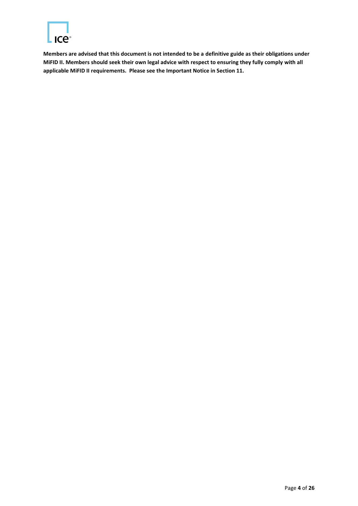

**Members are advised that this document is not intended to be a definitive guide as their obligations under MiFID II. Members should seek their own legal advice with respect to ensuring they fully comply with all applicable MiFID II requirements. Please see the Important Notice in Section 11.**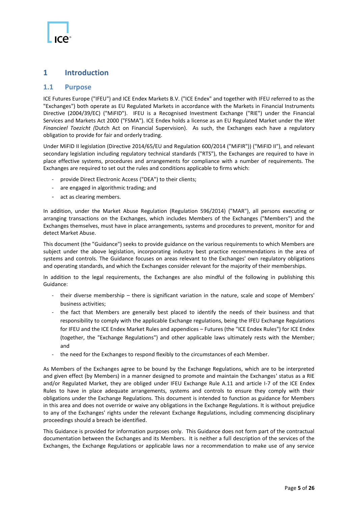#### <span id="page-4-0"></span>**1 Introduction**

#### <span id="page-4-1"></span>**1.1 Purpose**

ICE Futures Europe ("IFEU") and ICE Endex Markets B.V. ("ICE Endex" and together with IFEU referred to as the "Exchanges") both operate as EU Regulated Markets in accordance with the Markets in Financial Instruments Directive (2004/39/EC) ("MiFID"). IFEU is a Recognised Investment Exchange ("RIE") under the Financial Services and Markets Act 2000 ("FSMA"). ICE Endex holds a license as an EU Regulated Market under the *Wet Financieel Toezicht (*Dutch Act on Financial Supervision). As such, the Exchanges each have a regulatory obligation to provide for fair and orderly trading.

Under MiFID II legislation (Directive 2014/65/EU and Regulation 600/2014 ("MiFIR")) ("MiFID II"), and relevant secondary legislation including regulatory technical standards ("RTS"), the Exchanges are required to have in place effective systems, procedures and arrangements for compliance with a number of requirements. The Exchanges are required to set out the rules and conditions applicable to firms which:

- provide Direct Electronic Access ("DEA") to their clients;
- are engaged in algorithmic trading; and
- act as clearing members.

In addition, under the Market Abuse Regulation (Regulation 596/2014) ("MAR"), all persons executing or arranging transactions on the Exchanges, which includes Members of the Exchanges ("Members") and the Exchanges themselves, must have in place arrangements, systems and procedures to prevent, monitor for and detect Market Abuse.

This document (the "Guidance") seeks to provide guidance on the various requirements to which Members are subject under the above legislation, incorporating industry best practice recommendations in the area of systems and controls. The Guidance focuses on areas relevant to the Exchanges' own regulatory obligations and operating standards, and which the Exchanges consider relevant for the majority of their memberships.

In addition to the legal requirements, the Exchanges are also mindful of the following in publishing this Guidance:

- their diverse membership there is significant variation in the nature, scale and scope of Members' business activities;
- the fact that Members are generally best placed to identify the needs of their business and that responsibility to comply with the applicable Exchange regulations, being the IFEU Exchange Regulations for IFEU and the ICE Endex Market Rules and appendices – Futures (the "ICE Endex Rules") for ICE Endex (together, the "Exchange Regulations") and other applicable laws ultimately rests with the Member; and
- the need for the Exchanges to respond flexibly to the circumstances of each Member.

As Members of the Exchanges agree to be bound by the Exchange Regulations, which are to be interpreted and given effect (by Members) in a manner designed to promote and maintain the Exchanges' status as a RIE and/or Regulated Market, they are obliged under IFEU Exchange Rule A.11 and article I-7 of the ICE Endex Rules to have in place adequate arrangements, systems and controls to ensure they comply with their obligations under the Exchange Regulations. This document is intended to function as guidance for Members in this area and does not override or waive any obligations in the Exchange Regulations. It is without prejudice to any of the Exchanges' rights under the relevant Exchange Regulations, including commencing disciplinary proceedings should a breach be identified.

This Guidance is provided for information purposes only. This Guidance does not form part of the contractual documentation between the Exchanges and its Members. It is neither a full description of the services of the Exchanges, the Exchange Regulations or applicable laws nor a recommendation to make use of any service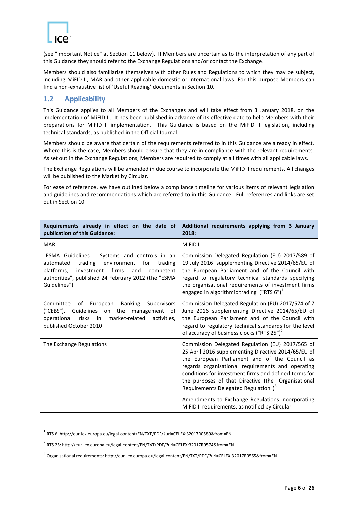

1

(see "Important Notice" at Section 11 below). If Members are uncertain as to the interpretation of any part of this Guidance they should refer to the Exchange Regulations and/or contact the Exchange.

Members should also familiarise themselves with other Rules and Regulations to which they may be subject, including MiFID II, MAR and other applicable domestic or international laws. For this purpose Members can find a non-exhaustive list of 'Useful Reading' documents in Section 10.

#### <span id="page-5-0"></span>**1.2 Applicability**

This Guidance applies to all Members of the Exchanges and will take effect from 3 January 2018, on the implementation of MiFID II. It has been published in advance of its effective date to help Members with their preparations for MiFID II implementation. This Guidance is based on the MiFID II legislation, including technical standards, as published in the Official Journal.

Members should be aware that certain of the requirements referred to in this Guidance are already in effect. Where this is the case, Members should ensure that they are in compliance with the relevant requirements. As set out in the Exchange Regulations, Members are required to comply at all times with all applicable laws.

The Exchange Regulations will be amended in due course to incorporate the MiFID II requirements. All changes will be published to the Market by Circular.

For ease of reference, we have outlined below a compliance timeline for various items of relevant legislation and guidelines and recommendations which are referred to in this Guidance. Full references and links are set out in Section 10.

| Requirements already in effect on the date of<br>publication of this Guidance:                                                                                                                                                   | Additional requirements applying from 3 January<br>2018:                                                                                                                                                                                                                                                                                                                          |
|----------------------------------------------------------------------------------------------------------------------------------------------------------------------------------------------------------------------------------|-----------------------------------------------------------------------------------------------------------------------------------------------------------------------------------------------------------------------------------------------------------------------------------------------------------------------------------------------------------------------------------|
| <b>MAR</b>                                                                                                                                                                                                                       | MiFID II                                                                                                                                                                                                                                                                                                                                                                          |
| "ESMA Guidelines - Systems and controls in an<br>trading environment<br>for<br>automated<br>trading<br>investment firms<br>platforms,<br>and<br>competent<br>authorities", published 24 February 2012 (the "ESMA<br>Guidelines") | Commission Delegated Regulation (EU) 2017/589 of<br>19 July 2016 supplementing Directive 2014/65/EU of<br>the European Parliament and of the Council with<br>regard to regulatory technical standards specifying<br>the organisational requirements of investment firms<br>engaged in algorithmic trading ("RTS $6"$ ) <sup>1</sup>                                               |
| of European<br><b>Banking</b><br>Committee<br>Supervisors<br>("CEBS"), Guidelines on the management of<br>$\overline{\mathsf{in}}$<br>market-related<br>operational risks<br>activities.<br>published October 2010               | Commission Delegated Regulation (EU) 2017/574 of 7<br>June 2016 supplementing Directive 2014/65/EU of<br>the European Parliament and of the Council with<br>regard to regulatory technical standards for the level<br>of accuracy of business clocks ("RTS 25") <sup>2</sup>                                                                                                      |
| The Exchange Regulations                                                                                                                                                                                                         | Commission Delegated Regulation (EU) 2017/565 of<br>25 April 2016 supplementing Directive 2014/65/EU of<br>the European Parliament and of the Council as<br>regards organisational requirements and operating<br>conditions for investment firms and defined terms for<br>the purposes of that Directive (the "Organisational<br>Requirements Delegated Regulation") <sup>3</sup> |
|                                                                                                                                                                                                                                  | Amendments to Exchange Regulations incorporating<br>MiFID II requirements, as notified by Circular                                                                                                                                                                                                                                                                                |

<sup>1</sup> RTS 6: http://eur-lex.europa.eu/legal-content/EN/TXT/PDF/?uri=CELEX:32017R0589&from=EN

<sup>2</sup> RTS 25: http://eur-lex.europa.eu/legal-content/EN/TXT/PDF/?uri=CELEX:32017R0574&from=EN

<sup>&</sup>lt;sup>3</sup> Organisational requirements: http://eur-lex.europa.eu/legal-content/EN/TXT/PDF/?uri=CELEX:32017R0565&from=EN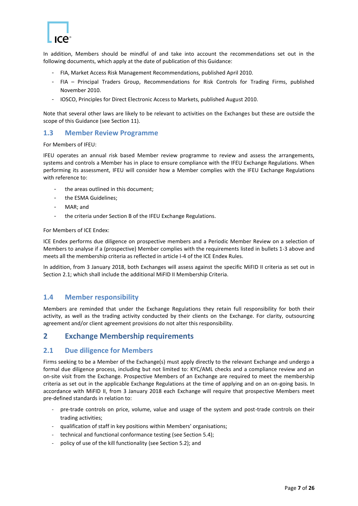

In addition, Members should be mindful of and take into account the recommendations set out in the following documents, which apply at the date of publication of this Guidance:

- FIA, Market Access Risk Management Recommendations, published April 2010.
- FIA Principal Traders Group, Recommendations for Risk Controls for Trading Firms, published November 2010.
- IOSCO, Principles for Direct Electronic Access to Markets, published August 2010.

Note that several other laws are likely to be relevant to activities on the Exchanges but these are outside the scope of this Guidance (see Section 11).

#### <span id="page-6-0"></span>**1.3 Member Review Programme**

For Members of IFEU:

IFEU operates an annual risk based Member review programme to review and assess the arrangements, systems and controls a Member has in place to ensure compliance with the IFEU Exchange Regulations. When performing its assessment, IFEU will consider how a Member complies with the IFEU Exchange Regulations with reference to:

- the areas outlined in this document;
- the ESMA Guidelines;
- MAR; and
- the criteria under Section B of the IFEU Exchange Regulations.

For Members of ICE Endex:

ICE Endex performs due diligence on prospective members and a Periodic Member Review on a selection of Members to analyse if a (prospective) Member complies with the requirements listed in bullets 1-3 above and meets all the membership criteria as reflected in article I-4 of the ICE Endex Rules.

In addition, from 3 January 2018, both Exchanges will assess against the specific MiFID II criteria as set out in Section [2.1;](#page-6-3) which shall include the additional MiFID II Membership Criteria.

#### <span id="page-6-1"></span>**1.4 Member responsibility**

Members are reminded that under the Exchange Regulations they retain full responsibility for both their activity, as well as the trading activity conducted by their clients on the Exchange. For clarity, outsourcing agreement and/or client agreement provisions do not alter this responsibility.

#### <span id="page-6-2"></span>**2 Exchange Membership requirements**

#### <span id="page-6-3"></span>**2.1 Due diligence for Members**

Firms seeking to be a Member of the Exchange(s) must apply directly to the relevant Exchange and undergo a formal due diligence process, including but not limited to: KYC/AML checks and a compliance review and an on-site visit from the Exchange. Prospective Members of an Exchange are required to meet the membership criteria as set out in the applicable Exchange Regulations at the time of applying and on an on-going basis. In accordance with MiFID II, from 3 January 2018 each Exchange will require that prospective Members meet pre-defined standards in relation to:

- pre-trade controls on price, volume, value and usage of the system and post-trade controls on their trading activities;
- qualification of staff in key positions within Members' organisations;
- technical and functional conformance testing (see Sectio[n 5.4\)](#page-16-1);
- policy of use of the kill functionality (see Section 5.2); and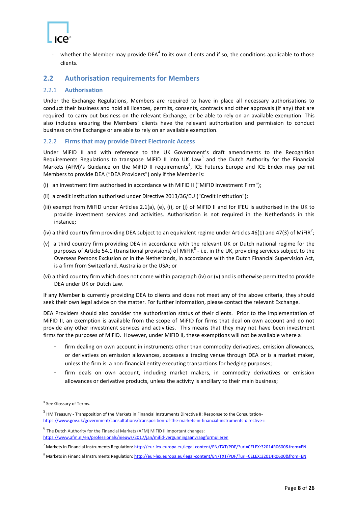

- whether the Member may provide DEA<sup>4</sup> to its own clients and if so, the conditions applicable to those clients.

#### <span id="page-7-0"></span>**2.2 Authorisation requirements for Members**

#### <span id="page-7-1"></span>2.2.1 **Authorisation**

Under the Exchange Regulations, Members are required to have in place all necessary authorisations to conduct their business and hold all licences, permits, consents, contracts and other approvals (if any) that are required to carry out business on the relevant Exchange, or be able to rely on an available exemption. This also includes ensuring the Members' clients have the relevant authorisation and permission to conduct business on the Exchange or are able to rely on an available exemption.

#### <span id="page-7-2"></span>2.2.2 **Firms that may provide Direct Electronic Access**

Under MiFID II and with reference to the UK Government's draft amendments to the Recognition Requirements Regulations to transpose MiFID II into UK Law<sup>5</sup> and the Dutch Authority for the Financial Markets (AFM)'s Guidance on the MiFID II requirements<sup>6</sup>, ICE Futures Europe and ICE Endex may permit Members to provide DEA ("DEA Providers") only if the Member is:

- (i) an investment firm authorised in accordance with MiFID II ("MiFID Investment Firm");
- (ii) a credit institution authorised under Directive 2013/36/EU ("Credit Institution");
- (iii) exempt from MiFID under Articles 2.1(a), (e), (i), or (j) of MiFID II and for IFEU is authorised in the UK to provide investment services and activities. Authorisation is not required in the Netherlands in this instance;
- (iv) a third country firm providing DEA subject to an equivalent regime under Articles 46(1) and 47(3) of MiFIR<sup>7</sup>;
- (v) a third country firm providing DEA in accordance with the relevant UK or Dutch national regime for the purposes of Article 54.1 (transitional provisions) of MiFIR<sup>8</sup> - i.e. in the UK, providing services subject to the Overseas Persons Exclusion or in the Netherlands, in accordance with the Dutch Financial Supervision Act, is a firm from Switzerland, Australia or the USA; or
- (vi) a third country firm which does not come within paragraph (iv) or (v) and is otherwise permitted to provide DEA under UK or Dutch Law.

If any Member is currently providing DEA to clients and does not meet any of the above criteria, they should seek their own legal advice on the matter. For further information, please contact the relevant Exchange.

DEA Providers should also consider the authorisation status of their clients. Prior to the implementation of MiFID II, an exemption is available from the scope of MiFID for firms that deal on own account and do not provide any other investment services and activities. This means that they may not have been investment firms for the purposes of MiFID. However, under MiFID II, these exemptions will not be available where a:

- firm dealing on own account in instruments other than commodity derivatives, emission allowances, or derivatives on emission allowances, accesses a trading venue through DEA or is a market maker, unless the firm is a non-financial entity executing transactions for hedging purposes;
- firm deals on own account, including market makers, in commodity derivatives or emission allowances or derivative products, unless the activity is ancillary to their main business;

**.** 

<sup>4</sup> See Glossary of Terms.

<sup>5</sup> HM Treasury - Transposition of the Markets in Financial Instruments Directive II: Response to the Consultation<https://www.gov.uk/government/consultations/transposition-of-the-markets-in-financial-instruments-directive-ii>

<sup>6</sup> The Dutch Authority for the Financial Markets (AFM) MiFID II Important changes: <https://www.afm.nl/en/professionals/nieuws/2017/jan/mifid-vergunningaanvraagformulieren>

<sup>&</sup>lt;sup>7</sup> Markets in Financial Instruments Regulation[: http://eur-lex.europa.eu/legal-content/EN/TXT/PDF/?uri=CELEX:32014R0600&from=EN](http://eur-lex.europa.eu/legal-content/EN/TXT/PDF/?uri=CELEX:32014R0600&from=EN)

<sup>8</sup> Markets in Financial Instruments Regulation[: http://eur-lex.europa.eu/legal-content/EN/TXT/PDF/?uri=CELEX:32014R0600&from=EN](http://eur-lex.europa.eu/legal-content/EN/TXT/PDF/?uri=CELEX:32014R0600&from=EN)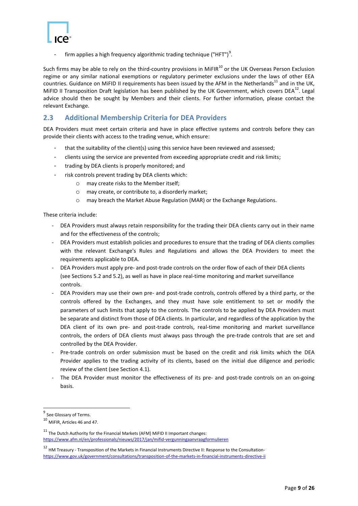

- firm applies a high frequency algorithmic trading technique ("HFT")<sup>9</sup>.

Such firms may be able to rely on the third-country provisions in MiFIR $^{10}$  or the UK Overseas Person Exclusion regime or any similar national exemptions or regulatory perimeter exclusions under the laws of other EEA countries. Guidance on MiFID II requirements has been issued by the AFM in the Netherlands<sup>11</sup> and in the UK, MiFID II Transposition Draft legislation has been published by the UK Government, which covers DEA $^{12}$ . Legal advice should then be sought by Members and their clients. For further information, please contact the relevant Exchange.

#### <span id="page-8-0"></span>**2.3 Additional Membership Criteria for DEA Providers**

DEA Providers must meet certain criteria and have in place effective systems and controls before they can provide their clients with access to the trading venue, which ensure:

- that the suitability of the client(s) using this service have been reviewed and assessed;
- clients using the service are prevented from exceeding appropriate credit and risk limits;
- trading by DEA clients is properly monitored; and
- risk controls prevent trading by DEA clients which:
	- o may create risks to the Member itself;
	- o may create, or contribute to, a disorderly market;
	- o may breach the Market Abuse Regulation (MAR) or the Exchange Regulations.

These criteria include:

- DEA Providers must always retain responsibility for the trading their DEA clients carry out in their name and for the effectiveness of the controls;
- DEA Providers must establish policies and procedures to ensure that the trading of DEA clients complies with the relevant Exchange's Rules and Regulations and allows the DEA Providers to meet the requirements applicable to DEA.
- DEA Providers must apply pre- and post-trade controls on the order flow of each of their DEA clients (see Section[s 5.2](#page-14-2) and 5.2), as well as have in place real-time monitoring and market surveillance controls.
- DEA Providers may use their own pre- and post-trade controls, controls offered by a third party, or the controls offered by the Exchanges, and they must have sole entitlement to set or modify the parameters of such limits that apply to the controls. The controls to be applied by DEA Providers must be separate and distinct from those of DEA clients. In particular, and regardless of the application by the DEA client of its own pre- and post-trade controls, real-time monitoring and market surveillance controls, the orders of DEA clients must always pass through the pre-trade controls that are set and controlled by the DEA Provider.
- Pre-trade controls on order submission must be based on the credit and risk limits which the DEA Provider applies to the trading activity of its clients, based on the initial due diligence and periodic review of the client (see Sectio[n 4.1\)](#page-13-1).
- The DEA Provider must monitor the effectiveness of its pre- and post-trade controls on an on-going basis.

<sup>&</sup>lt;u>-</u><br><sup>9</sup> See Glossary of Terms.

<sup>10</sup> MiFIR, Articles <sup>46</sup> and 47.

 $11$  The Dutch Authority for the Financial Markets (AFM) MiFID II Important changes: <https://www.afm.nl/en/professionals/nieuws/2017/jan/mifid-vergunningaanvraagformulieren>

<sup>12</sup> HM Treasury - Transposition of the Markets in Financial Instruments Directive II: Response to the Consultation<https://www.gov.uk/government/consultations/transposition-of-the-markets-in-financial-instruments-directive-ii>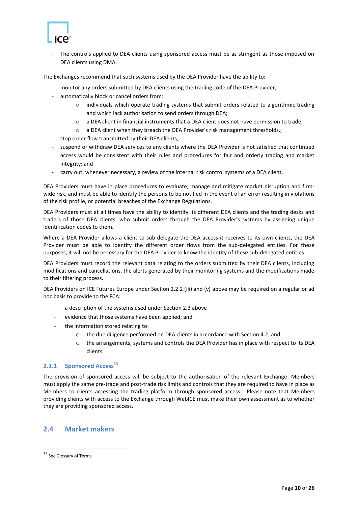

The controls applied to DEA clients using sponsored access must be as stringent as those imposed on DEA clients using DMA.

The Exchanges recommend that such systems used by the DEA Provider have the ability to:

- monitor any orders submitted by DEA clients using the trading code of the DEA Provider;
- automatically block or cancel orders from:
	- o individuals which operate trading systems that submit orders related to algorithmic trading and which lack authorisation to send orders through DEA;
	- o a DEA client in financial instruments that a DEA client does not have permission to trade;
	- o a DEA client when they breach the DEA Provider's risk management thresholds.;
- stop order flow transmitted by their DEA clients;
- suspend or withdraw DEA services to any clients where the DEA Provider is not satisfied that continued access would be consistent with their rules and procedures for fair and orderly trading and market integrity; and
- carry out, whenever necessary, a review of the internal risk control systems of a DEA client.

DEA Providers must have in place procedures to evaluate, manage and mitigate market disruption and firmwide risk, and must be able to identify the persons to be notified in the event of an error resulting in violations of the risk profile, or potential breaches of the Exchange Regulations.

DEA Providers must at all times have the ability to identify its different DEA clients and the trading desks and traders of those DEA clients, who submit orders through the DEA Provider's systems by assigning unique identification codes to them.

Where a DEA Provider allows a client to sub-delegate the DEA access it receives to its own clients, the DEA Provider must be able to identify the different order flows from the sub-delegated entities. For these purposes, it will not be necessary for the DEA Provider to know the identity of these sub-delegated entities.

DEA Providers must record the relevant data relating to the orders submitted by their DEA clients, including modifications and cancellations, the alerts generated by their monitoring systems and the modifications made to their filtering process.

DEA Providers on ICE Futures Europe under Section 2.2.2 (iii) and (v) above may be required on a regular or ad hoc basis to provide to the FCA:

- a description of the systems used under Section 2.3 above
- evidence that those systems have been applied; and
- the information stored relating to:
	- o the due diligence performed on DEA clients in accordance with Section 4.2; and
		- o the arrangements, systems and controls the DEA Provider has in place with respect to its DEA clients.

#### <span id="page-9-0"></span>**2.3.1 Sponsored Access<sup>13</sup>**

The provision of sponsored access will be subject to the authorisation of the relevant Exchange. Members must apply the same pre-trade and post-trade risk limits and controls that they are required to have in place as Members to clients accessing the trading platform through sponsored access. Please note that Members providing clients with access to the Exchange through WebICE must make their own assessment as to whether they are providing sponsored access.

#### <span id="page-9-1"></span>**2.4 Market makers**

1

<sup>&</sup>lt;sup>13</sup> See Glossary of Terms.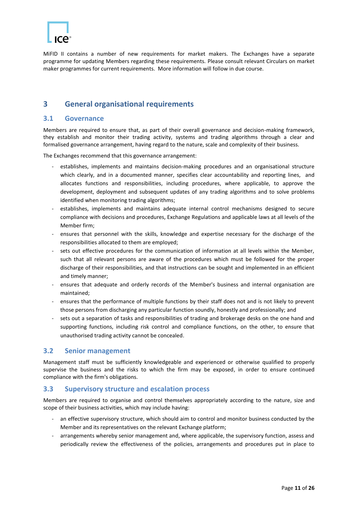MiFID II contains a number of new requirements for market makers. The Exchanges have a separate programme for updating Members regarding these requirements. Please consult relevant Circulars on market maker programmes for current requirements. More information will follow in due course.

#### <span id="page-10-0"></span>**3 General organisational requirements**

#### <span id="page-10-1"></span>**3.1 Governance**

Members are required to ensure that, as part of their overall governance and decision-making framework, they establish and monitor their trading activity, systems and trading algorithms through a clear and formalised governance arrangement, having regard to the nature, scale and complexity of their business.

The Exchanges recommend that this governance arrangement:

- establishes, implements and maintains decision-making procedures and an organisational structure which clearly, and in a documented manner, specifies clear accountability and reporting lines, and allocates functions and responsibilities, including procedures, where applicable, to approve the development, deployment and subsequent updates of any trading algorithms and to solve problems identified when monitoring trading algorithms;
- establishes, implements and maintains adequate internal control mechanisms designed to secure compliance with decisions and procedures, Exchange Regulations and applicable laws at all levels of the Member firm;
- ensures that personnel with the skills, knowledge and expertise necessary for the discharge of the responsibilities allocated to them are employed;
- sets out effective procedures for the communication of information at all levels within the Member, such that all relevant persons are aware of the procedures which must be followed for the proper discharge of their responsibilities, and that instructions can be sought and implemented in an efficient and timely manner;
- ensures that adequate and orderly records of the Member's business and internal organisation are maintained;
- ensures that the performance of multiple functions by their staff does not and is not likely to prevent those persons from discharging any particular function soundly, honestly and professionally; and
- sets out a separation of tasks and responsibilities of trading and brokerage desks on the one hand and supporting functions, including risk control and compliance functions, on the other, to ensure that unauthorised trading activity cannot be concealed.

#### <span id="page-10-2"></span>**3.2 Senior management**

Management staff must be sufficiently knowledgeable and experienced or otherwise qualified to properly supervise the business and the risks to which the firm may be exposed, in order to ensure continued compliance with the firm's obligations.

#### <span id="page-10-3"></span>**3.3 Supervisory structure and escalation process**

Members are required to organise and control themselves appropriately according to the nature, size and scope of their business activities, which may include having:

- an effective supervisory structure, which should aim to control and monitor business conducted by the Member and its representatives on the relevant Exchange platform;
- arrangements whereby senior management and, where applicable, the supervisory function, assess and periodically review the effectiveness of the policies, arrangements and procedures put in place to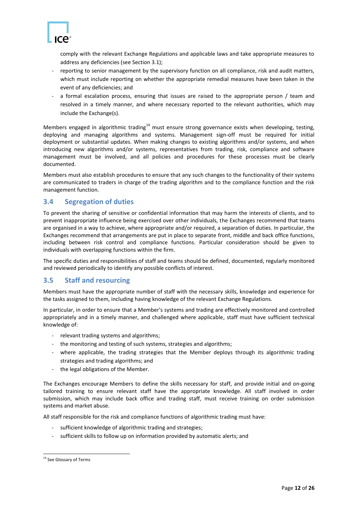

comply with the relevant Exchange Regulations and applicable laws and take appropriate measures to address any deficiencies (see Section 3.1);

- reporting to senior management by the supervisory function on all compliance, risk and audit matters, which must include reporting on whether the appropriate remedial measures have been taken in the event of any deficiencies; and
- a formal escalation process, ensuring that issues are raised to the appropriate person / team and resolved in a timely manner, and where necessary reported to the relevant authorities, which may include the Exchange(s).

Members engaged in algorithmic trading<sup>14</sup> must ensure strong governance exists when developing, testing, deploying and managing algorithms and systems. Management sign-off must be required for initial deployment or substantial updates. When making changes to existing algorithms and/or systems, and when introducing new algorithms and/or systems, representatives from trading, risk, compliance and software management must be involved, and all policies and procedures for these processes must be clearly documented.

Members must also establish procedures to ensure that any such changes to the functionality of their systems are communicated to traders in charge of the trading algorithm and to the compliance function and the risk management function.

#### <span id="page-11-0"></span>**3.4 Segregation of duties**

To prevent the sharing of sensitive or confidential information that may harm the interests of clients, and to prevent inappropriate influence being exercised over other individuals, the Exchanges recommend that teams are organised in a way to achieve, where appropriate and/or required, a separation of duties. In particular, the Exchanges recommend that arrangements are put in place to separate front, middle and back office functions, including between risk control and compliance functions. Particular consideration should be given to individuals with overlapping functions within the firm.

The specific duties and responsibilities of staff and teams should be defined, documented, regularly monitored and reviewed periodically to identify any possible conflicts of interest.

#### <span id="page-11-1"></span>**3.5 Staff and resourcing**

Members must have the appropriate number of staff with the necessary skills, knowledge and experience for the tasks assigned to them, including having knowledge of the relevant Exchange Regulations.

In particular, in order to ensure that a Member's systems and trading are effectively monitored and controlled appropriately and in a timely manner, and challenged where applicable, staff must have sufficient technical knowledge of:

- relevant trading systems and algorithms;
- the monitoring and testing of such systems, strategies and algorithms;
- where applicable, the trading strategies that the Member deploys through its algorithmic trading strategies and trading algorithms; and
- the legal obligations of the Member.

The Exchanges encourage Members to define the skills necessary for staff, and provide initial and on-going tailored training to ensure relevant staff have the appropriate knowledge. All staff involved in order submission, which may include back office and trading staff, must receive training on order submission systems and market abuse.

All staff responsible for the risk and compliance functions of algorithmic trading must have:

- sufficient knowledge of algorithmic trading and strategies;
- sufficient skills to follow up on information provided by automatic alerts; and

**<sup>.</sup>** <sup>14</sup> See Glossary of Terms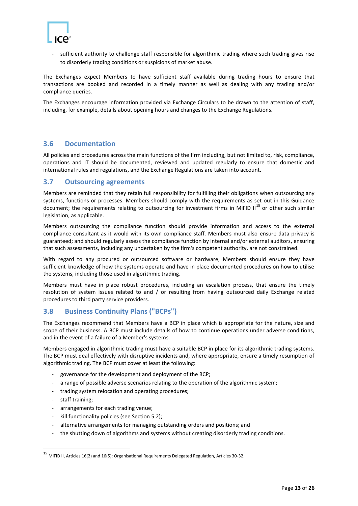

sufficient authority to challenge staff responsible for algorithmic trading where such trading gives rise to disorderly trading conditions or suspicions of market abuse.

The Exchanges expect Members to have sufficient staff available during trading hours to ensure that transactions are booked and recorded in a timely manner as well as dealing with any trading and/or compliance queries.

The Exchanges encourage information provided via Exchange Circulars to be drawn to the attention of staff, including, for example, details about opening hours and changes to the Exchange Regulations.

#### <span id="page-12-0"></span>**3.6 Documentation**

All policies and procedures across the main functions of the firm including, but not limited to, risk, compliance, operations and IT should be documented, reviewed and updated regularly to ensure that domestic and international rules and regulations, and the Exchange Regulations are taken into account.

#### <span id="page-12-1"></span>**3.7 Outsourcing agreements**

Members are reminded that they retain full responsibility for fulfilling their obligations when outsourcing any systems, functions or processes. Members should comply with the requirements as set out in this Guidance document; the requirements relating to outsourcing for investment firms in MiFID II<sup>15</sup> or other such similar legislation, as applicable.

Members outsourcing the compliance function should provide information and access to the external compliance consultant as it would with its own compliance staff. Members must also ensure data privacy is guaranteed; and should regularly assess the compliance function by internal and/or external auditors, ensuring that such assessments, including any undertaken by the firm's competent authority, are not constrained.

With regard to any procured or outsourced software or hardware, Members should ensure they have sufficient knowledge of how the systems operate and have in place documented procedures on how to utilise the systems, including those used in algorithmic trading.

Members must have in place robust procedures, including an escalation process, that ensure the timely resolution of system issues related to and / or resulting from having outsourced daily Exchange related procedures to third party service providers.

#### <span id="page-12-2"></span>**3.8 Business Continuity Plans ("BCPs")**

The Exchanges recommend that Members have a BCP in place which is appropriate for the nature, size and scope of their business. A BCP must include details of how to continue operations under adverse conditions, and in the event of a failure of a Member's systems.

Members engaged in algorithmic trading must have a suitable BCP in place for its algorithmic trading systems. The BCP must deal effectively with disruptive incidents and, where appropriate, ensure a timely resumption of algorithmic trading. The BCP must cover at least the following:

- governance for the development and deployment of the BCP;
- a range of possible adverse scenarios relating to the operation of the algorithmic system;
- trading system relocation and operating procedures;
- staff training;

1

- arrangements for each trading venue;
- kill functionality policies (see Section 5.2);
- alternative arrangements for managing outstanding orders and positions; and
- the shutting down of algorithms and systems without creating disorderly trading conditions.

<sup>15</sup> MiFID II, Articles 16(2) and 16(5); Organisational Requirements Delegated Regulation, Articles 30-32.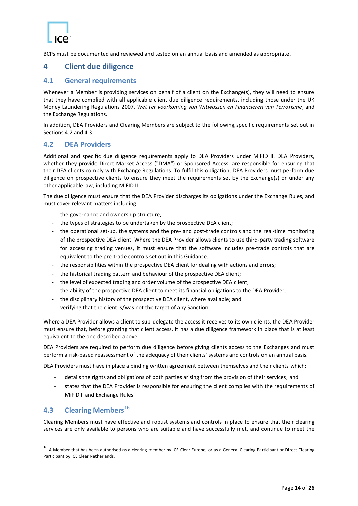BCPs must be documented and reviewed and tested on an annual basis and amended as appropriate.

#### <span id="page-13-0"></span>**4 Client due diligence**

#### <span id="page-13-1"></span>**4.1 General requirements**

Whenever a Member is providing services on behalf of a client on the Exchange(s), they will need to ensure that they have complied with all applicable client due diligence requirements, including those under the UK Money Laundering Regulations 2007, *Wet ter voorkoming van Witwassen en Financieren van Terrorisme*, and the Exchange Regulations.

In addition, DEA Providers and Clearing Members are subject to the following specific requirements set out in Sections [4.2](#page-13-2) an[d 4.3.](#page-13-3)

#### <span id="page-13-2"></span>**4.2 DEA Providers**

Additional and specific due diligence requirements apply to DEA Providers under MiFID II. DEA Providers, whether they provide Direct Market Access ("DMA") or Sponsored Access, are responsible for ensuring that their DEA clients comply with Exchange Regulations. To fulfil this obligation, DEA Providers must perform due diligence on prospective clients to ensure they meet the requirements set by the Exchange(s) or under any other applicable law, including MiFID II.

The due diligence must ensure that the DEA Provider discharges its obligations under the Exchange Rules, and must cover relevant matters including:

- the governance and ownership structure;
- the types of strategies to be undertaken by the prospective DEA client;
- the operational set-up, the systems and the pre- and post-trade controls and the real-time monitoring of the prospective DEA client. Where the DEA Provider allows clients to use third-party trading software for accessing trading venues, it must ensure that the software includes pre-trade controls that are equivalent to the pre-trade controls set out in this Guidance;
- the responsibilities within the prospective DEA client for dealing with actions and errors;
- the historical trading pattern and behaviour of the prospective DEA client;
- the level of expected trading and order volume of the prospective DEA client;
- the ability of the prospective DEA client to meet its financial obligations to the DEA Provider;
- the disciplinary history of the prospective DEA client, where available; and
- verifying that the client is/was not the target of any Sanction.

Where a DEA Provider allows a client to sub-delegate the access it receives to its own clients, the DEA Provider must ensure that, before granting that client access, it has a due diligence framework in place that is at least equivalent to the one described above.

DEA Providers are required to perform due diligence before giving clients access to the Exchanges and must perform a risk-based reassessment of the adequacy of their clients' systems and controls on an annual basis.

DEA Providers must have in place a binding written agreement between themselves and their clients which:

- details the rights and obligations of both parties arising from the provision of their services; and
- states that the DEA Provider is responsible for ensuring the client complies with the requirements of MiFID II and Exchange Rules.

#### <span id="page-13-3"></span>**4.3 Clearing Members<sup>16</sup>**

1

Clearing Members must have effective and robust systems and controls in place to ensure that their clearing services are only available to persons who are suitable and have successfully met, and continue to meet the

<sup>&</sup>lt;sup>16</sup> A Member that has been authorised as a clearing member by ICE Clear Europe, or as a General Clearing Participant or Direct Clearing Participant by ICE Clear Netherlands.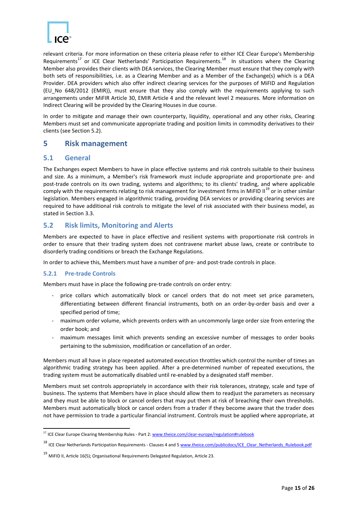

relevant criteria. For more information on these criteria please refer to either ICE Clear Europe's Membership Requirements<sup>17</sup> or ICE Clear Netherlands' Participation Requirements.<sup>18</sup> In situations where the Clearing Member also provides their clients with DEA services, the Clearing Member must ensure that they comply with both sets of responsibilities, i.e. as a Clearing Member and as a Member of the Exchange(s) which is a DEA Provider. DEA providers which also offer indirect clearing services for the purposes of MiFID and Regulation (EU No 648/2012 (EMIR)), must ensure that they also comply with the requirements applying to such arrangements under MiFIR Article 30, EMIR Article 4 and the relevant level 2 measures. More information on Indirect Clearing will be provided by the Clearing Houses in due course.

In order to mitigate and manage their own counterparty, liquidity, operational and any other risks, Clearing Members must set and communicate appropriate trading and position limits in commodity derivatives to their clients (see Section [5.2\)](#page-14-2).

#### <span id="page-14-0"></span>**5 Risk management**

#### <span id="page-14-1"></span>**5.1 General**

The Exchanges expect Members to have in place effective systems and risk controls suitable to their business and size. As a minimum, a Member's risk framework must include appropriate and proportionate pre- and post-trade controls on its own trading, systems and algorithms; to its clients' trading, and where applicable comply with the requirements relating to risk management for investment firms in MiFID II<sup>19</sup> or in other similar legislation. Members engaged in algorithmic trading, providing DEA services or providing clearing services are required to have additional risk controls to mitigate the level of risk associated with their business model, as stated in Section [3.3.](#page-10-3)

#### <span id="page-14-2"></span>**5.2 Risk limits, Monitoring and Alerts**

Members are expected to have in place effective and resilient systems with proportionate risk controls in order to ensure that their trading system does not contravene market abuse laws, create or contribute to disorderly trading conditions or breach the Exchange Regulations.

In order to achieve this, Members must have a number of pre- and post-trade controls in place.

#### <span id="page-14-3"></span>**5.2.1 Pre-trade Controls**

**.** 

Members must have in place the following pre-trade controls on order entry:

- price collars which automatically block or cancel orders that do not meet set price parameters, differentiating between different financial instruments, both on an order-by-order basis and over a specified period of time;
- maximum order volume, which prevents orders with an uncommonly large order size from entering the order book; and
- maximum messages limit which prevents sending an excessive number of messages to order books pertaining to the submission, modification or cancellation of an order.

Members must all have in place repeated automated execution throttles which control the number of times an algorithmic trading strategy has been applied. After a pre-determined number of repeated executions, the trading system must be automatically disabled until re-enabled by a designated staff member.

Members must set controls appropriately in accordance with their risk tolerances, strategy, scale and type of business. The systems that Members have in place should allow them to readjust the parameters as necessary and they must be able to block or cancel orders that may put them at risk of breaching their own thresholds. Members must automatically block or cancel orders from a trader if they become aware that the trader does not have permission to trade a particular financial instrument. Controls must be applied where appropriate, at

<sup>&</sup>lt;sup>17</sup> ICE Clear Europe Clearing Membership Rules - Part 2[: www.theice.com/clear-europe/regulation#rulebook](http://www.theice.com/clear-europe/regulation#rulebook)

<sup>&</sup>lt;sup>18</sup> ICE Clear Netherlands Participation Requirements - Clauses 4 and [5 www.theice.com/publicdocs/ICE\\_Clear\\_Netherlands\\_Rulebook.pdf](http://www.theice.com/publicdocs/ICE_Clear_Netherlands_Rulebook.pdf)

<sup>19</sup> MiFID II, Article 16(5); Organisational Requirements Delegated Regulation, Article 23.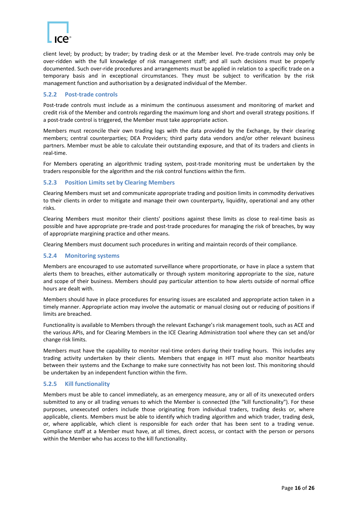

client level; by product; by trader; by trading desk or at the Member level. Pre-trade controls may only be over-ridden with the full knowledge of risk management staff; and all such decisions must be properly documented. Such over-ride procedures and arrangements must be applied in relation to a specific trade on a temporary basis and in exceptional circumstances. They must be subject to verification by the risk management function and authorisation by a designated individual of the Member.

#### <span id="page-15-0"></span>**5.2.2 Post-trade controls**

Post-trade controls must include as a minimum the continuous assessment and monitoring of market and credit risk of the Member and controls regarding the maximum long and short and overall strategy positions. If a post-trade control is triggered, the Member must take appropriate action.

Members must reconcile their own trading logs with the data provided by the Exchange, by their clearing members; central counterparties; DEA Providers; third party data vendors and/or other relevant business partners. Member must be able to calculate their outstanding exposure, and that of its traders and clients in real-time.

For Members operating an algorithmic trading system, post-trade monitoring must be undertaken by the traders responsible for the algorithm and the risk control functions within the firm.

#### <span id="page-15-1"></span>**5.2.3 Position Limits set by Clearing Members**

Clearing Members must set and communicate appropriate trading and position limits in commodity derivatives to their clients in order to mitigate and manage their own counterparty, liquidity, operational and any other risks.

Clearing Members must monitor their clients' positions against these limits as close to real-time basis as possible and have appropriate pre-trade and post-trade procedures for managing the risk of breaches, by way of appropriate margining practice and other means.

Clearing Members must document such procedures in writing and maintain records of their compliance.

#### <span id="page-15-2"></span>**5.2.4 Monitoring systems**

Members are encouraged to use automated surveillance where proportionate, or have in place a system that alerts them to breaches, either automatically or through system monitoring appropriate to the size, nature and scope of their business. Members should pay particular attention to how alerts outside of normal office hours are dealt with.

Members should have in place procedures for ensuring issues are escalated and appropriate action taken in a timely manner. Appropriate action may involve the automatic or manual closing out or reducing of positions if limits are breached.

Functionality is available to Members through the relevant Exchange's risk management tools, such as ACE and the various APIs, and for Clearing Members in the ICE Clearing Administration tool where they can set and/or change risk limits.

Members must have the capability to monitor real-time orders during their trading hours. This includes any trading activity undertaken by their clients. Members that engage in HFT must also monitor heartbeats between their systems and the Exchange to make sure connectivity has not been lost. This monitoring should be undertaken by an independent function within the firm.

#### <span id="page-15-3"></span>**5.2.5 Kill functionality**

Members must be able to cancel immediately, as an emergency measure, any or all of its unexecuted orders submitted to any or all trading venues to which the Member is connected (the "kill functionality"). For these purposes, unexecuted orders include those originating from individual traders, trading desks or, where applicable, clients. Members must be able to identify which trading algorithm and which trader, trading desk, or, where applicable, which client is responsible for each order that has been sent to a trading venue. Compliance staff at a Member must have, at all times, direct access, or contact with the person or persons within the Member who has access to the kill functionality.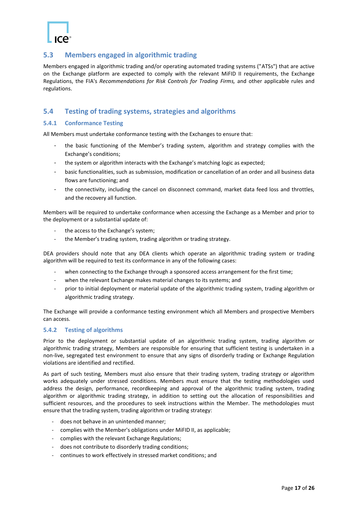#### <span id="page-16-0"></span>**5.3 Members engaged in algorithmic trading**

Members engaged in algorithmic trading and/or operating automated trading systems ("ATSs") that are active on the Exchange platform are expected to comply with the relevant MiFID II requirements, the Exchange Regulations, the FIA's *Recommendations for Risk Controls for Trading Firms,* and other applicable rules and regulations.

#### <span id="page-16-1"></span>**5.4 Testing of trading systems, strategies and algorithms**

#### <span id="page-16-2"></span>**5.4.1 Conformance Testing**

All Members must undertake conformance testing with the Exchanges to ensure that:

- the basic functioning of the Member's trading system, algorithm and strategy complies with the Exchange's conditions;
- the system or algorithm interacts with the Exchange's matching logic as expected;
- basic functionalities, such as submission, modification or cancellation of an order and all business data flows are functioning; and
- the connectivity, including the cancel on disconnect command, market data feed loss and throttles, and the recovery all function.

Members will be required to undertake conformance when accessing the Exchange as a Member and prior to the deployment or a substantial update of:

- the access to the Exchange's system;
- the Member's trading system, trading algorithm or trading strategy.

DEA providers should note that any DEA clients which operate an algorithmic trading system or trading algorithm will be required to test its conformance in any of the following cases:

- when connecting to the Exchange through a sponsored access arrangement for the first time;
- when the relevant Exchange makes material changes to its systems; and
- prior to initial deployment or material update of the algorithmic trading system, trading algorithm or algorithmic trading strategy.

The Exchange will provide a conformance testing environment which all Members and prospective Members can access.

#### <span id="page-16-3"></span>**5.4.2 Testing of algorithms**

Prior to the deployment or substantial update of an algorithmic trading system, trading algorithm or algorithmic trading strategy, Members are responsible for ensuring that sufficient testing is undertaken in a non-live, segregated test environment to ensure that any signs of disorderly trading or Exchange Regulation violations are identified and rectified.

As part of such testing, Members must also ensure that their trading system, trading strategy or algorithm works adequately under stressed conditions. Members must ensure that the testing methodologies used address the design, performance, recordkeeping and approval of the algorithmic trading system, trading algorithm or algorithmic trading strategy, in addition to setting out the allocation of responsibilities and sufficient resources, and the procedures to seek instructions within the Member. The methodologies must ensure that the trading system, trading algorithm or trading strategy:

- does not behave in an unintended manner;
- complies with the Member's obligations under MiFID II, as applicable;
- complies with the relevant Exchange Regulations;
- does not contribute to disorderly trading conditions;
- continues to work effectively in stressed market conditions; and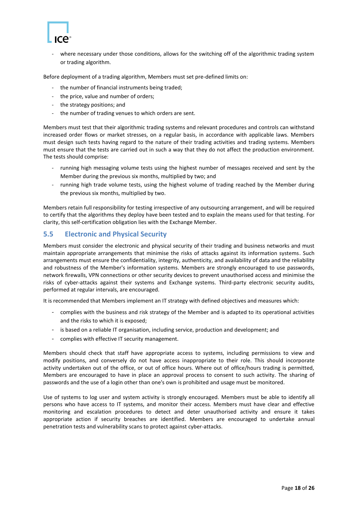

where necessary under those conditions, allows for the switching off of the algorithmic trading system or trading algorithm.

Before deployment of a trading algorithm, Members must set pre-defined limits on:

- the number of financial instruments being traded;
- the price, value and number of orders;
- the strategy positions; and
- the number of trading venues to which orders are sent.

Members must test that their algorithmic trading systems and relevant procedures and controls can withstand increased order flows or market stresses, on a regular basis, in accordance with applicable laws. Members must design such tests having regard to the nature of their trading activities and trading systems. Members must ensure that the tests are carried out in such a way that they do not affect the production environment. The tests should comprise:

- running high messaging volume tests using the highest number of messages received and sent by the Member during the previous six months, multiplied by two; and
- running high trade volume tests, using the highest volume of trading reached by the Member during the previous six months, multiplied by two.

Members retain full responsibility for testing irrespective of any outsourcing arrangement, and will be required to certify that the algorithms they deploy have been tested and to explain the means used for that testing. For clarity, this self-certification obligation lies with the Exchange Member.

#### <span id="page-17-0"></span>**5.5 Electronic and Physical Security**

Members must consider the electronic and physical security of their trading and business networks and must maintain appropriate arrangements that minimise the risks of attacks against its information systems. Such arrangements must ensure the confidentiality, integrity, authenticity, and availability of data and the reliability and robustness of the Member's information systems. Members are strongly encouraged to use passwords, network firewalls, VPN connections or other security devices to prevent unauthorised access and minimise the risks of cyber-attacks against their systems and Exchange systems. Third-party electronic security audits, performed at regular intervals, are encouraged.

It is recommended that Members implement an IT strategy with defined objectives and measures which:

- complies with the business and risk strategy of the Member and is adapted to its operational activities and the risks to which it is exposed;
- is based on a reliable IT organisation, including service, production and development; and
- complies with effective IT security management.

Members should check that staff have appropriate access to systems, including permissions to view and modify positions, and conversely do not have access inappropriate to their role. This should incorporate activity undertaken out of the office, or out of office hours. Where out of office/hours trading is permitted, Members are encouraged to have in place an approval process to consent to such activity. The sharing of passwords and the use of a login other than one's own is prohibited and usage must be monitored.

Use of systems to log user and system activity is strongly encouraged. Members must be able to identify all persons who have access to IT systems, and monitor their access. Members must have clear and effective monitoring and escalation procedures to detect and deter unauthorised activity and ensure it takes appropriate action if security breaches are identified. Members are encouraged to undertake annual penetration tests and vulnerability scans to protect against cyber-attacks.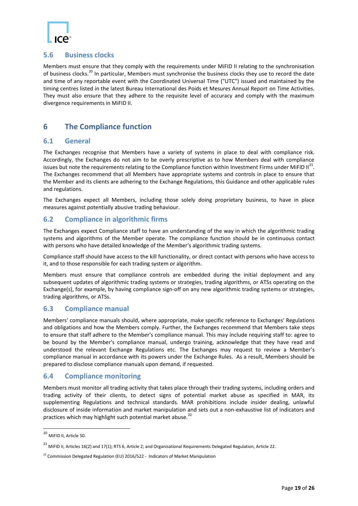

#### <span id="page-18-0"></span>**5.6 Business clocks**

Members must ensure that they comply with the requirements under MiFID II relating to the synchronisation of business clocks.<sup>20</sup> In particular, Members must synchronise the business clocks they use to record the date and time of any reportable event with the Coordinated Universal Time ("UTC") issued and maintained by the timing centres listed in the latest Bureau International des Poids et Mesures Annual Report on Time Activities. They must also ensure that they adhere to the requisite level of accuracy and comply with the maximum divergence requirements in MiFID II.

#### <span id="page-18-1"></span>**6 The Compliance function**

#### <span id="page-18-2"></span>**6.1 General**

The Exchanges recognise that Members have a variety of systems in place to deal with compliance risk. Accordingly, the Exchanges do not aim to be overly prescriptive as to how Members deal with compliance issues but note the requirements relating to the Compliance function within Investment Firms under MiFID II<sup>21</sup>. The Exchanges recommend that all Members have appropriate systems and controls in place to ensure that the Member and its clients are adhering to the Exchange Regulations, this Guidance and other applicable rules and regulations.

The Exchanges expect all Members, including those solely doing proprietary business, to have in place measures against potentially abusive trading behaviour.

#### <span id="page-18-3"></span>**6.2 Compliance in algorithmic firms**

The Exchanges expect Compliance staff to have an understanding of the way in which the algorithmic trading systems and algorithms of the Member operate. The compliance function should be in continuous contact with persons who have detailed knowledge of the Member's algorithmic trading systems.

Compliance staff should have access to the kill functionality, or direct contact with persons who have access to it, and to those responsible for each trading system or algorithm.

Members must ensure that compliance controls are embedded during the initial deployment and any subsequent updates of algorithmic trading systems or strategies, trading algorithms, or ATSs operating on the Exchange(s), for example, by having compliance sign-off on any new algorithmic trading systems or strategies, trading algorithms, or ATSs.

#### <span id="page-18-4"></span>**6.3 Compliance manual**

Members' compliance manuals should, where appropriate, make specific reference to Exchanges' Regulations and obligations and how the Members comply. Further, the Exchanges recommend that Members take steps to ensure that staff adhere to the Member's compliance manual. This may include requiring staff to: agree to be bound by the Member's compliance manual, undergo training, acknowledge that they have read and understood the relevant Exchange Regulations etc. The Exchanges may request to review a Member's compliance manual in accordance with its powers under the Exchange Rules. As a result, Members should be prepared to disclose compliance manuals upon demand, if requested.

#### <span id="page-18-5"></span>**6.4 Compliance monitoring**

Members must monitor all trading activity that takes place through their trading systems, including orders and trading activity of their clients, to detect signs of potential market abuse as specified in MAR, its supplementing Regulations and technical standards. MAR prohibitions include insider dealing, unlawful disclosure of inside information and market manipulation and sets out a non-exhaustive list of indicators and practices which may highlight such potential market abuse.<sup>22</sup>

**.** 

<sup>&</sup>lt;sup>20</sup> MiFID II, Article 50.

 $^{21}$  MiFID II, Articles 16(2) and 17(1); RTS 6, Article 2; and Organisational Requirements Delegated Regulation, Article 22.

 $22$  Commission Delegated Regulation (EU) 2016/522 - Indicators of Market Manipulation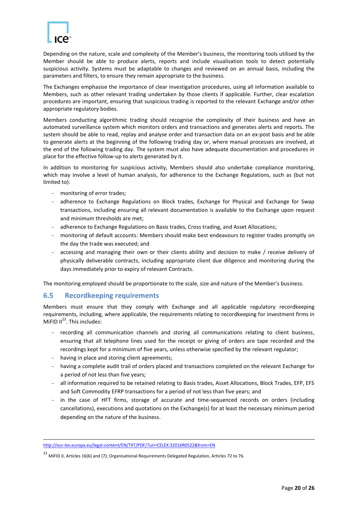

Depending on the nature, scale and complexity of the Member's business, the monitoring tools utilised by the Member should be able to produce alerts, reports and include visualisation tools to detect potentially suspicious activity. Systems must be adaptable to changes and reviewed on an annual basis, including the parameters and filters, to ensure they remain appropriate to the business.

The Exchanges emphasise the importance of clear investigation procedures, using all information available to Members, such as other relevant trading undertaken by those clients if applicable. Further, clear escalation procedures are important, ensuring that suspicious trading is reported to the relevant Exchange and/or other appropriate regulatory bodies.

Members conducting algorithmic trading should recognise the complexity of their business and have an automated surveillance system which monitors orders and transactions and generates alerts and reports. The system should be able to read, replay and analyse order and transaction data on an ex-post basis and be able to generate alerts at the beginning of the following trading day or, where manual processes are involved, at the end of the following trading day. The system must also have adequate documentation and procedures in place for the effective follow-up to alerts generated by it.

In addition to monitoring for suspicious activity, Members should also undertake compliance monitoring, which may involve a level of human analysis, for adherence to the Exchange Regulations, such as (but not limited to):

- monitoring of error trades;
- adherence to Exchange Regulations on Block trades, Exchange for Physical and Exchange for Swap transactions, including ensuring all relevant documentation is available to the Exchange upon request and minimum thresholds are met;
- adherence to Exchange Regulations on Basis trades, Cross trading, and Asset Allocations;
- monitoring of default accounts: Members should make best endeavours to register trades promptly on the day the trade was executed; and
- accessing and managing their own or their clients ability and decision to make / receive delivery of physically deliverable contracts, including appropriate client due diligence and monitoring during the days immediately prior to expiry of relevant Contracts.

The monitoring employed should be proportionate to the scale, size and nature of the Member's business.

#### <span id="page-19-0"></span>**6.5 Recordkeeping requirements**

Members must ensure that they comply with Exchange and all applicable regulatory recordkeeping requirements, including, where applicable, the requirements relating to recordkeeping for investment firms in MiFID  $II^{23}$ . This includes:

- recording all communication channels and storing all communications relating to client business, ensuring that all telephone lines used for the receipt or giving of orders are tape recorded and the recordings kept for a minimum of five years, unless otherwise specified by the relevant regulator;
- having in place and storing client agreements;
- having a complete audit trail of orders placed and transactions completed on the relevant Exchange for a period of not less than five years;
- all information required to be retained relating to Basis trades, Asset Allocations, Block Trades, EFP, EFS and Soft Commodity EFRP transactions for a period of not less than five years; and
- in the case of HFT firms, storage of accurate and time-sequenced records on orders (including cancellations), executions and quotations on the Exchange(s) for at least the necessary minimum period depending on the nature of the business.

<sup>1</sup> <http://eur-lex.europa.eu/legal-content/EN/TXT/PDF/?uri=CELEX:32016R0522&from=EN>

<sup>&</sup>lt;sup>23</sup> MiFID II. Articles 16(6) and (7); Organisational Requirements Delegated Regulation, Articles 72 to 76.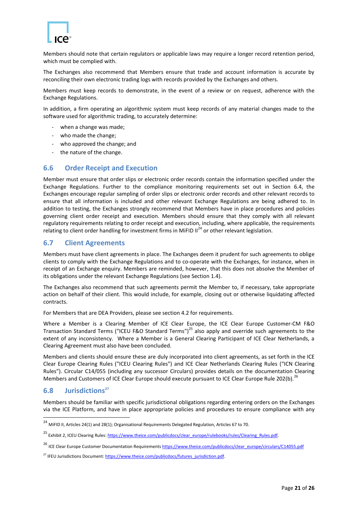

Members should note that certain regulators or applicable laws may require a longer record retention period, which must be complied with.

The Exchanges also recommend that Members ensure that trade and account information is accurate by reconciling their own electronic trading logs with records provided by the Exchanges and others.

Members must keep records to demonstrate, in the event of a review or on request, adherence with the Exchange Regulations.

In addition, a firm operating an algorithmic system must keep records of any material changes made to the software used for algorithmic trading, to accurately determine:

- when a change was made;
- who made the change;
- who approved the change; and
- the nature of the change.

#### <span id="page-20-0"></span>**6.6 Order Receipt and Execution**

Member must ensure that order slips or electronic order records contain the information specified under the Exchange Regulations. Further to the compliance monitoring requirements set out in Section 6.4, the Exchanges encourage regular sampling of order slips or electronic order records and other relevant records to ensure that all information is included and other relevant Exchange Regulations are being adhered to. In addition to testing, the Exchanges strongly recommend that Members have in place procedures and policies governing client order receipt and execution. Members should ensure that they comply with all relevant regulatory requirements relating to order receipt and execution, including, where applicable, the requirements relating to client order handling for investment firms in MiFID  $II^{24}$  or other relevant legislation.

#### <span id="page-20-1"></span>**6.7 Client Agreements**

Members must have client agreements in place. The Exchanges deem it prudent for such agreements to oblige clients to comply with the Exchange Regulations and to co-operate with the Exchanges, for instance, when in receipt of an Exchange enquiry. Members are reminded, however, that this does not absolve the Member of its obligations under the relevant Exchange Regulations (see Section [1.4\)](#page-6-1).

The Exchanges also recommend that such agreements permit the Member to, if necessary, take appropriate action on behalf of their client. This would include, for example, closing out or otherwise liquidating affected contracts.

For Members that are DEA Providers, please see section 4.2 for requirements.

Where a Member is a Clearing Member of ICE Clear Europe, the ICE Clear Europe Customer-CM F&O Transaction Standard Terms ("ICEU F&O Standard Terms")<sup>25</sup> also apply and override such agreements to the extent of any inconsistency. Where a Member is a General Clearing Participant of ICE Clear Netherlands, a Clearing Agreement must also have been concluded.

Members and clients should ensure these are duly incorporated into client agreements, as set forth in the ICE Clear Europe Clearing Rules ("ICEU Clearing Rules") and ICE Clear Netherlands Clearing Rules ("ICN Clearing Rules"). Circular C14/055 (including any successor Circulars) provides details on the documentation Clearing Members and Customers of ICE Clear Europe should execute pursuant to ICE Clear Europe Rule 202(b).<sup>26</sup>

#### <span id="page-20-2"></span>**6.8 Jurisdictions<sup>27</sup>**

1

Members should be familiar with specific jurisdictional obligations regarding entering orders on the Exchanges via the ICE Platform, and have in place appropriate policies and procedures to ensure compliance with any

<sup>&</sup>lt;sup>24</sup> MiFID II, Articles 24(1) and 28(1); Organisational Requirements Delegated Regulation, Articles 67 to 70.

<sup>&</sup>lt;sup>25</sup> Exhibit 2, ICEU Clearing Rules: https://www.theice.com/publicdocs/clear\_europe/rulebooks/rules/Clearing\_Rules.pdf.

<sup>&</sup>lt;sup>26</sup> ICE Clear Europe Customer Documentation Requirements [https://www.theice.com/publicdocs/clear\\_europe/circulars/C14055.pdf](https://www.theice.com/publicdocs/clear_europe/circulars/C14055.pdf)

<sup>&</sup>lt;sup>27</sup> IFEU Jurisdictions Document: https://www.theice.com/publicdocs/futures\_jurisdiction.pdf.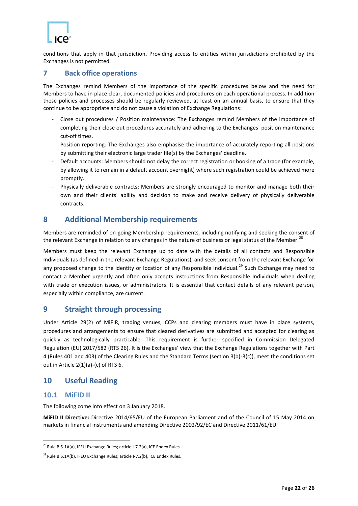

conditions that apply in that jurisdiction. Providing access to entities within jurisdictions prohibited by the Exchanges is not permitted.

#### <span id="page-21-0"></span>**7 Back office operations**

The Exchanges remind Members of the importance of the specific procedures below and the need for Members to have in place clear, documented policies and procedures on each operational process. In addition these policies and processes should be regularly reviewed, at least on an annual basis, to ensure that they continue to be appropriate and do not cause a violation of Exchange Regulations:

- Close out procedures / Position maintenance: The Exchanges remind Members of the importance of completing their close out procedures accurately and adhering to the Exchanges' position maintenance cut-off times.
- Position reporting: The Exchanges also emphasise the importance of accurately reporting all positions by submitting their electronic large trader file(s) by the Exchanges' deadline.
- Default accounts: Members should not delay the correct registration or booking of a trade (for example, by allowing it to remain in a default account overnight) where such registration could be achieved more promptly.
- Physically deliverable contracts: Members are strongly encouraged to monitor and manage both their own and their clients' ability and decision to make and receive delivery of physically deliverable contracts.

#### <span id="page-21-1"></span>**8 Additional Membership requirements**

Members are reminded of on-going Membership requirements, including notifying and seeking the consent of the relevant Exchange in relation to any changes in the nature of business or legal status of the Member.<sup>28</sup>

Members must keep the relevant Exchange up to date with the details of all contacts and Responsible Individuals (as defined in the relevant Exchange Regulations), and seek consent from the relevant Exchange for any proposed change to the identity or location of any Responsible Individual.<sup>29</sup> Such Exchange may need to contact a Member urgently and often only accepts instructions from Responsible Individuals when dealing with trade or execution issues, or administrators. It is essential that contact details of any relevant person, especially within compliance, are current.

#### <span id="page-21-2"></span>**9 Straight through processing**

Under Article 29(2) of MiFIR, trading venues, CCPs and clearing members must have in place systems, procedures and arrangements to ensure that cleared derivatives are submitted and accepted for clearing as quickly as technologically practicable. This requirement is further specified in Commission Delegated Regulation (EU) 2017/582 (RTS 26). It is the Exchanges' view that the Exchange Regulations together with Part 4 (Rules 401 and 403) of the Clearing Rules and the Standard Terms (section 3(b)-3(c)), meet the conditions set out in Article 2(1)(a)-(c) of RTS 6.

#### <span id="page-21-3"></span>**10 Useful Reading**

#### <span id="page-21-4"></span>**10.1 MiFID II**

**.** 

The following come into effect on 3 January 2018.

**MiFID II Directive:** Directive 2014/65/EU of the European Parliament and of the Council of 15 May 2014 on markets in financial instruments and amending Directive 2002/92/EC and Directive 2011/61/EU

 $^{28}$  Rule B.5.1A(a), IFEU Exchange Rules; article I-7.2(a), ICE Endex Rules.

<sup>&</sup>lt;sup>29</sup> Rule B.5.1A(b), IFEU Exchange Rules; article I-7.2(b), ICE Endex Rules.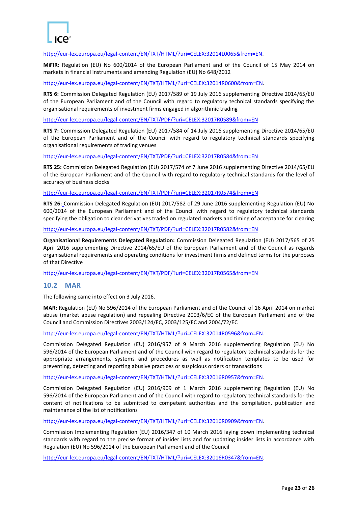

[http://eur-lex.europa.eu/legal-content/EN/TXT/HTML/?uri=CELEX:32014L0065&from=EN.](http://eur-lex.europa.eu/legal-content/EN/TXT/HTML/?uri=CELEX:32014L0065&from=EN)

**MiFIR:** Regulation (EU) No 600/2014 of the European Parliament and of the Council of 15 May 2014 on markets in financial instruments and amending Regulation (EU) No 648/2012

[http://eur-lex.europa.eu/legal-content/EN/TXT/HTML/?uri=CELEX:32014R0600&from=EN.](http://eur-lex.europa.eu/legal-content/EN/TXT/HTML/?uri=CELEX:32014R0600&from=EN)

**RTS 6:** Commission Delegated Regulation (EU) 2017/589 of 19 July 2016 supplementing Directive 2014/65/EU of the European Parliament and of the Council with regard to regulatory technical standards specifying the organisational requirements of investment firms engaged in algorithmic trading

<http://eur-lex.europa.eu/legal-content/EN/TXT/PDF/?uri=CELEX:32017R0589&from=EN>

**RTS 7:** Commission Delegated Regulation (EU) 2017/584 of 14 July 2016 supplementing Directive 2014/65/EU of the European Parliament and of the Council with regard to regulatory technical standards specifying organisational requirements of trading venues

<http://eur-lex.europa.eu/legal-content/EN/TXT/PDF/?uri=CELEX:32017R0584&from=EN>

**RTS 25:** Commission Delegated Regulation (EU) 2017/574 of 7 June 2016 supplementing Directive 2014/65/EU of the European Parliament and of the Council with regard to regulatory technical standards for the level of accuracy of business clocks

<http://eur-lex.europa.eu/legal-content/EN/TXT/PDF/?uri=CELEX:32017R0574&from=EN>

**RTS 26:** Commission Delegated Regulation (EU) 2017/582 of 29 June 2016 supplementing Regulation (EU) No 600/2014 of the European Parliament and of the Council with regard to regulatory technical standards specifying the obligation to clear derivatives traded on regulated markets and timing of acceptance for clearing

http://eur-lex.europa.eu/legal-content/EN/TXT/PDF/?uri=CELEX:32017R0582&from=EN

**Organisational Requirements Delegated Regulation:** Commission Delegated Regulation (EU) 2017/565 of 25 April 2016 supplementing Directive 2014/65/EU of the European Parliament and of the Council as regards organisational requirements and operating conditions for investment firms and defined terms for the purposes of that Directive

<http://eur-lex.europa.eu/legal-content/EN/TXT/PDF/?uri=CELEX:32017R0565&from=EN>

#### <span id="page-22-0"></span>**10.2 MAR**

The following came into effect on 3 July 2016.

**MAR:** Regulation (EU) No 596/2014 of the European Parliament and of the Council of 16 April 2014 on market abuse (market abuse regulation) and repealing Directive 2003/6/EC of the European Parliament and of the Council and Commission Directives 2003/124/EC, 2003/125/EC and 2004/72/EC

[http://eur-lex.europa.eu/legal-content/EN/TXT/HTML/?uri=CELEX:32014R0596&from=EN.](http://eur-lex.europa.eu/legal-content/EN/TXT/HTML/?uri=CELEX:32014R0596&from=EN)

Commission Delegated Regulation (EU) 2016/957 of 9 March 2016 supplementing Regulation (EU) No 596/2014 of the European Parliament and of the Council with regard to regulatory technical standards for the appropriate arrangements, systems and procedures as well as notification templates to be used for preventing, detecting and reporting abusive practices or suspicious orders or transactions

[http://eur-lex.europa.eu/legal-content/EN/TXT/HTML/?uri=CELEX:32016R0957&from=EN.](http://eur-lex.europa.eu/legal-content/EN/TXT/HTML/?uri=CELEX:32016R0957&from=EN)

Commission Delegated Regulation (EU) 2016/909 of 1 March 2016 supplementing Regulation (EU) No 596/2014 of the European Parliament and of the Council with regard to regulatory technical standards for the content of notifications to be submitted to competent authorities and the compilation, publication and maintenance of the list of notifications

[http://eur-lex.europa.eu/legal-content/EN/TXT/HTML/?uri=CELEX:32016R0909&from=EN.](http://eur-lex.europa.eu/legal-content/EN/TXT/HTML/?uri=CELEX:32016R0909&from=EN)

Commission Implementing Regulation (EU) 2016/347 of 10 March 2016 laying down implementing technical standards with regard to the precise format of insider lists and for updating insider lists in accordance with Regulation (EU) No 596/2014 of the European Parliament and of the Council

[http://eur-lex.europa.eu/legal-content/EN/TXT/HTML/?uri=CELEX:32016R0347&from=EN.](http://eur-lex.europa.eu/legal-content/EN/TXT/HTML/?uri=CELEX:32016R0347&from=EN)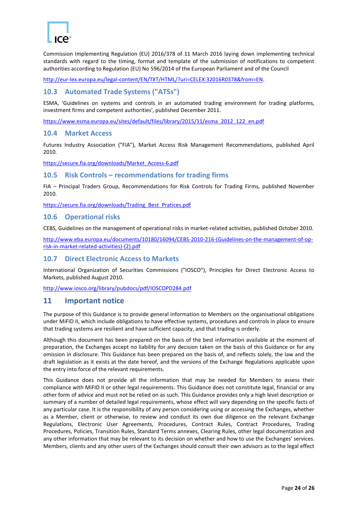

Commission Implementing Regulation (EU) 2016/378 of 11 March 2016 laying down implementing technical standards with regard to the timing, format and template of the submission of notifications to competent authorities according to Regulation (EU) No 596/2014 of the European Parliament and of the Council

[http://eur-lex.europa.eu/legal-content/EN/TXT/HTML/?uri=CELEX:32016R0378&from=EN.](http://eur-lex.europa.eu/legal-content/EN/TXT/HTML/?uri=CELEX:32016R0378&from=EN)

#### <span id="page-23-0"></span>**10.3 Automated Trade Systems ("ATSs")**

ESMA, 'Guidelines on systems and controls in an automated trading environment for trading platforms, investment firms and competent authorities', published December 2011.

[https://www.esma.europa.eu/sites/default/files/library/2015/11/esma\\_2012\\_122\\_en.pdf](https://www.esma.europa.eu/sites/default/files/library/2015/11/esma_2012_122_en.pdf)

#### <span id="page-23-1"></span>**10.4 Market Access**

Futures Industry Association ("FIA"), Market Access Risk Management Recommendations, published April 2010.

[https://secure.fia.org/downloads/Market\\_Access-6.pdf](https://secure.fia.org/downloads/Market_Access-6.pdf)

#### <span id="page-23-2"></span>**10.5 Risk Controls – recommendations for trading firms**

FIA – Principal Traders Group, Recommendations for Risk Controls for Trading Firms, published November 2010.

[https://secure.fia.org/downloads/Trading\\_Best\\_Pratices.pdf](https://secure.fia.org/downloads/Trading_Best_Pratices.pdf)

#### <span id="page-23-3"></span>**10.6 Operational risks**

CEBS, Guidelines on the management of operational risks in market-related activities, published October 2010.

[http://www.eba.europa.eu/documents/10180/16094/CEBS-2010-216-\(Guidelines-on-the-management-of-op](http://www.eba.europa.eu/documents/10180/16094/CEBS-2010-216-(Guidelines-on-the-management-of-op-risk-in-market-related-activities)-(2).pdf)[risk-in-market-related-activities\)-\(2\).pdf](http://www.eba.europa.eu/documents/10180/16094/CEBS-2010-216-(Guidelines-on-the-management-of-op-risk-in-market-related-activities)-(2).pdf)

#### <span id="page-23-4"></span>**10.7 Direct Electronic Access to Markets**

International Organization of Securities Commissions ("IOSCO"), Principles for Direct Electronic Access to Markets, published August 2010.

<http://www.iosco.org/library/pubdocs/pdf/IOSCOPD284.pdf>

#### <span id="page-23-5"></span>**11 Important notice**

The purpose of this Guidance is to provide general information to Members on the organisational obligations under MiFID II, which include obligations to have effective systems, procedures and controls in place to ensure that trading systems are resilient and have sufficient capacity, and that trading is orderly.

Although this document has been prepared on the basis of the best information available at the moment of preparation, the Exchanges accept no liability for any decision taken on the basis of this Guidance or for any omission in disclosure. This Guidance has been prepared on the basis of, and reflects solely, the law and the draft legislation as it exists at the date hereof, and the versions of the Exchange Regulations applicable upon the entry into force of the relevant requirements.

This Guidance does not provide all the information that may be needed for Members to assess their compliance with MiFID II or other legal requirements. This Guidance does not constitute legal, financial or any other form of advice and must not be relied on as such. This Guidance provides only a high level description or summary of a number of detailed legal requirements, whose effect will vary depending on the specific facts of any particular case. It is the responsibility of any person considering using or accessing the Exchanges, whether as a Member, client or otherwise, to review and conduct its own due diligence on the relevant Exchange Regulations, Electronic User Agreements, Procedures, Contract Rules, Contract Procedures, Trading Procedures, Policies, Transition Rules, Standard Terms annexes, Clearing Rules, other legal documentation and any other information that may be relevant to its decision on whether and how to use the Exchanges' services. Members, clients and any other users of the Exchanges should consult their own advisors as to the legal effect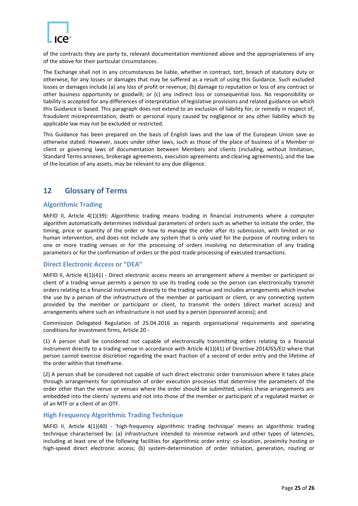

of the contracts they are party to, relevant documentation mentioned above and the appropriateness of any of the above for their particular circumstances.

The Exchange shall not in any circumstances be liable, whether in contract, tort, breach of statutory duty or otherwise, for any losses or damages that may be suffered as a result of using this Guidance. Such excluded losses or damages include (a) any loss of profit or revenue; (b) damage to reputation or loss of any contract or other business opportunity or goodwill; or (c) any indirect loss or consequential loss. No responsibility or liability is accepted for any differences of interpretation of legislative provisions and related guidance on which this Guidance is based. This paragraph does not extend to an exclusion of liability for, or remedy in respect of, fraudulent misrepresentation, death or personal injury caused by negligence or any other liability which by applicable law may not be excluded or restricted.

This Guidance has been prepared on the basis of English laws and the law of the European Union save as otherwise stated. However, issues under other laws, such as those of the place of business of a Member or client or governing laws of documentation between Members and clients (including, without limitation, Standard Terms annexes, brokerage agreements, execution agreements and clearing agreements), and the law of the location of any assets, may be relevant to any due diligence.

#### <span id="page-24-0"></span>**12 Glossary of Terms**

#### <span id="page-24-1"></span>**Algorithmic Trading**

MiFID II, Article 4(1)(39): Algorithmic trading means trading in financial instruments where a computer algorithm automatically determines individual parameters of orders such as whether to initiate the order, the timing, price or quantity of the order or how to manage the order after its submission, with limited or no human intervention, and does not include any system that is only used for the purpose of routing orders to one or more trading venues or for the processing of orders involving no determination of any trading parameters or for the confirmation of orders or the post-trade processing of executed transactions.

#### <span id="page-24-2"></span>**Direct Electronic Access or "DEA"**

MiFID II, Article 4(1)(41) - Direct electronic access means an arrangement where a member or participant or client of a trading venue permits a person to use its trading code so the person can electronically transmit orders relating to a financial instrument directly to the trading venue and includes arrangements which involve the use by a person of the infrastructure of the member or participant or client, or any connecting system provided by the member or participant or client, to transmit the orders (direct market access) and arrangements where such an infrastructure is not used by a person (sponsored access); and

Commission Delegated Regulation of 25.04.2016 as regards organisational requirements and operating conditions for investment firms, Article 20 -

(1) A person shall be considered not capable of electronically transmitting orders relating to a financial instrument directly to a trading venue in accordance with Article 4(1)(41) of Directive 2014/65/EU where that person cannot exercise discretion regarding the exact fraction of a second of order entry and the lifetime of the order within that timeframe.

(2) A person shall be considered not capable of such direct electronic order transmission where it takes place through arrangements for optimisation of order execution processes that determine the parameters of the order other than the venue or venues where the order should be submitted, unless these arrangements are embedded into the clients' systems and not into those of the member or participant of a regulated market or of an MTF or a client of an OTF.

#### <span id="page-24-3"></span>**High Frequency Algorithmic Trading Technique**

MiFID II, Article 4(1)(40) - 'high-frequency algorithmic trading technique' means an algorithmic trading technique characterised by: (a) infrastructure intended to minimise network and other types of latencies, including at least one of the following facilities for algorithmic order entry: co-location, proximity hosting or high-speed direct electronic access; (b) system-determination of order initiation, generation, routing or